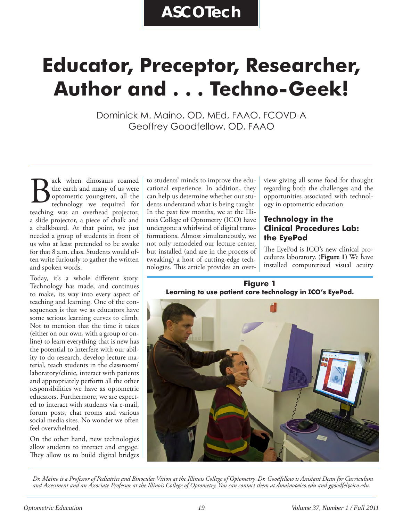# **Educator, Preceptor, Researcher, Author and . . . Techno-Geek!**

Dominick M. Maino, OD, MEd, FAAO, FCOVD-A Geoffrey Goodfellow, OD, FAAO

ack when dinosaurs roamed the earth and many of us were optometric youngsters, all the technology we required for **the earth and many of us were**<br>the earth and many of us were<br>optometric youngsters, all the<br>technology we required for<br>teaching was an overhead projector, a slide projector, a piece of chalk and a chalkboard. At that point, we just needed a group of students in front of us who at least pretended to be awake for that 8 a.m. class. Students would often write furiously to gather the written and spoken words.

Today, it's a whole different story. Technology has made, and continues to make, its way into every aspect of teaching and learning. One of the consequences is that we as educators have some serious learning curves to climb. Not to mention that the time it takes (either on our own, with a group or online) to learn everything that is new has the potential to interfere with our ability to do research, develop lecture material, teach students in the classroom/ laboratory/clinic, interact with patients and appropriately perform all the other responsibilities we have as optometric educators. Furthermore, we are expected to interact with students via e-mail, forum posts, chat rooms and various social media sites. No wonder we often feel overwhelmed.

On the other hand, new technologies allow students to interact and engage. They allow us to build digital bridges to students' minds to improve the educational experience. In addition, they can help us determine whether our students understand what is being taught. In the past few months, we at the Illinois College of Optometry (ICO) have undergone a whirlwind of digital transformations. Almost simultaneously, we not only remodeled our lecture center, but installed (and are in the process of tweaking) a host of cutting-edge technologies. This article provides an overview giving all some food for thought regarding both the challenges and the opportunities associated with technology in optometric education

## **Technology in the Clinical Procedures Lab: the EyePod**

The EyePod is ICO's new clinical procedures laboratory. (**Figure 1**) We have installed computerized visual acuity

**Figure 1 Learning to use patient care technology in ICO's EyePod.**



*Dr. Maino is a Professor of Pediatrics and Binocular Vision at the Illinois College of Optometry. Dr. Goodfellow is Assistant Dean for Curriculum and Assessment and an Associate Professor at the Illinois College of Optometry. You can contact them at dmaino@ico.edu and ggoodfel@ico.edu.*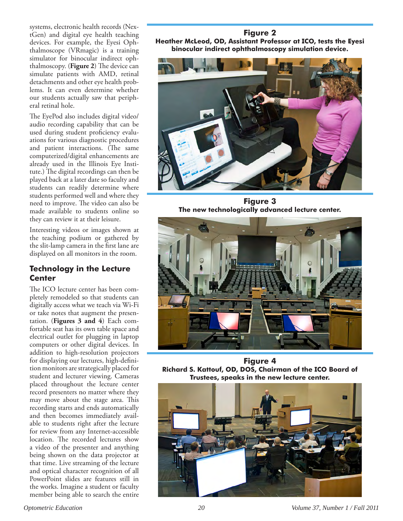systems, electronic health records (NextGen) and digital eye health teaching devices. For example, the Eyesi Ophthalmoscope (VRmagic) is a training simulator for binocular indirect ophthalmoscopy. (**Figure 2**) The device can simulate patients with AMD, retinal detachments and other eye health problems. It can even determine whether our students actually saw that peripheral retinal hole.

The EyePod also includes digital video/ audio recording capability that can be used during student proficiency evaluations for various diagnostic procedures and patient interactions. (The same computerized/digital enhancements are already used in the Illinois Eye Institute.) The digital recordings can then be played back at a later date so faculty and students can readily determine where students performed well and where they need to improve. The video can also be made available to students online so they can review it at their leisure.

Interesting videos or images shown at the teaching podium or gathered by the slit-lamp camera in the first lane are displayed on all monitors in the room.

#### **Technology in the Lecture Center**

The ICO lecture center has been completely remodeled so that students can digitally access what we teach via Wi-Fi or take notes that augment the presentation. (**Figures 3 and 4**) Each comfortable seat has its own table space and electrical outlet for plugging in laptop computers or other digital devices. In addition to high-resolution projectors for displaying our lectures, high-definition monitors are strategically placed for student and lecturer viewing. Cameras placed throughout the lecture center record presenters no matter where they may move about the stage area. This recording starts and ends automatically and then becomes immediately available to students right after the lecture for review from any Internet-accessible location. The recorded lectures show a video of the presenter and anything being shown on the data projector at that time. Live streaming of the lecture and optical character recognition of all PowerPoint slides are features still in the works. Imagine a student or faculty member being able to search the entire

**Figure 2 Heather McLeod, OD, Assistant Professor at ICO, tests the Eyesi binocular indirect ophthalmoscopy simulation device.**



**Figure 3 The new technologically advanced lecture center.**



**Figure 4 Richard S. Kattouf, OD, DOS, Chairman of the ICO Board of Trustees, speaks in the new lecture center.**